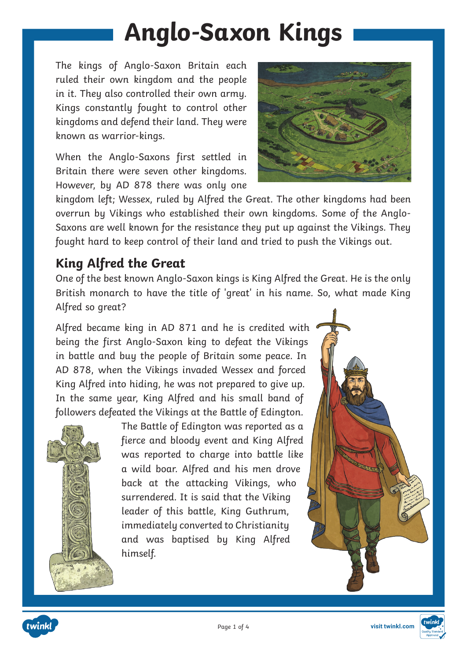# **Anglo-Saxon Kings**

The kings of Anglo-Saxon Britain each ruled their own kingdom and the people in it. They also controlled their own army. Kings constantly fought to control other kingdoms and defend their land. They were known as warrior-kings.

When the Anglo-Saxons first settled in Britain there were seven other kingdoms. However, by AD 878 there was only one



kingdom left; Wessex, ruled by Alfred the Great. The other kingdoms had been overrun by Vikings who established their own kingdoms. Some of the Anglo-Saxons are well known for the resistance they put up against the Vikings. They fought hard to keep control of their land and tried to push the Vikings out.

### **King Alfred the Great**

One of the best known Anglo-Saxon kings is King Alfred the Great. He is the only British monarch to have the title of 'great' in his name. So, what made King Alfred so great?

Alfred became king in AD 871 and he is credited with being the first Anglo-Saxon king to defeat the Vikings in battle and buy the people of Britain some peace. In AD 878, when the Vikings invaded Wessex and forced King Alfred into hiding, he was not prepared to give up. In the same year, King Alfred and his small band of followers defeated the Vikings at the Battle of Edington.







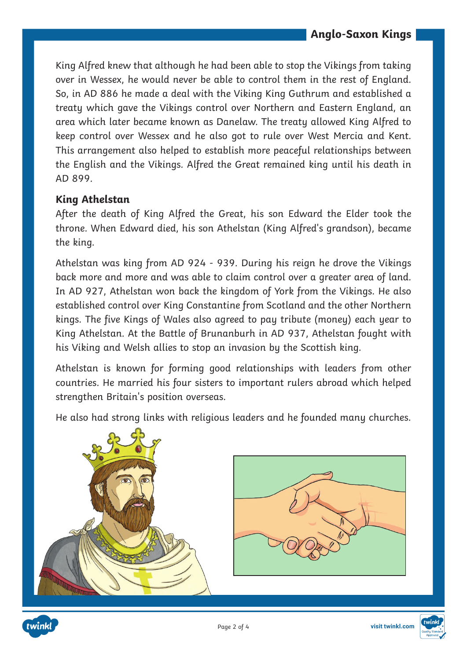King Alfred knew that although he had been able to stop the Vikings from taking over in Wessex, he would never be able to control them in the rest of England. So, in AD 886 he made a deal with the Viking King Guthrum and established a treaty which gave the Vikings control over Northern and Eastern England, an area which later became known as Danelaw. The treaty allowed King Alfred to keep control over Wessex and he also got to rule over West Mercia and Kent. This arrangement also helped to establish more peaceful relationships between the English and the Vikings. Alfred the Great remained king until his death in AD 899.

#### **King Athelstan**

After the death of King Alfred the Great, his son Edward the Elder took the throne. When Edward died, his son Athelstan (King Alfred's grandson), became the king.

Athelstan was king from AD 924 - 939. During his reign he drove the Vikings back more and more and was able to claim control over a greater area of land. In AD 927, Athelstan won back the kingdom of York from the Vikings. He also established control over King Constantine from Scotland and the other Northern kings. The five Kings of Wales also agreed to pay tribute (money) each year to King Athelstan. At the Battle of Brunanburh in AD 937, Athelstan fought with his Viking and Welsh allies to stop an invasion by the Scottish king.

Athelstan is known for forming good relationships with leaders from other countries. He married his four sisters to important rulers abroad which helped strengthen Britain's position overseas.

He also had strong links with religious leaders and he founded many churches.







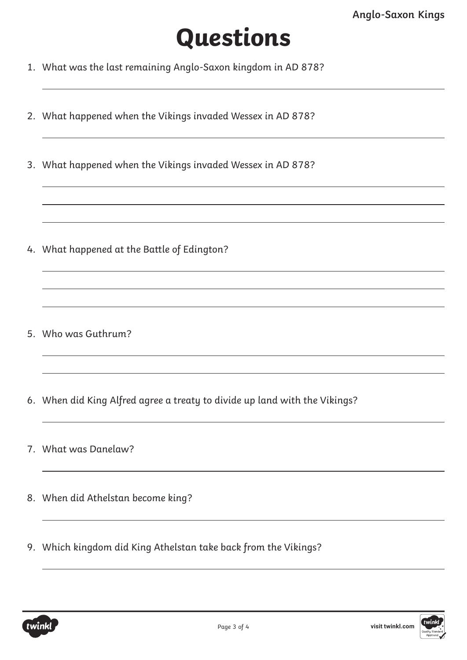## **Questions**

- 1. What was the last remaining Anglo-Saxon kingdom in AD 878?
- 2. What happened when the Vikings invaded Wessex in AD 878?
- 3. What happened when the Vikings invaded Wessex in AD 878?

4. What happened at the Battle of Edington?

- 5. Who was Guthrum?
- 6. When did King Alfred agree a treaty to divide up land with the Vikings?
- 7. What was Danelaw?
- 8. When did Athelstan become king?
- 9. Which kingdom did King Athelstan take back from the Vikings?

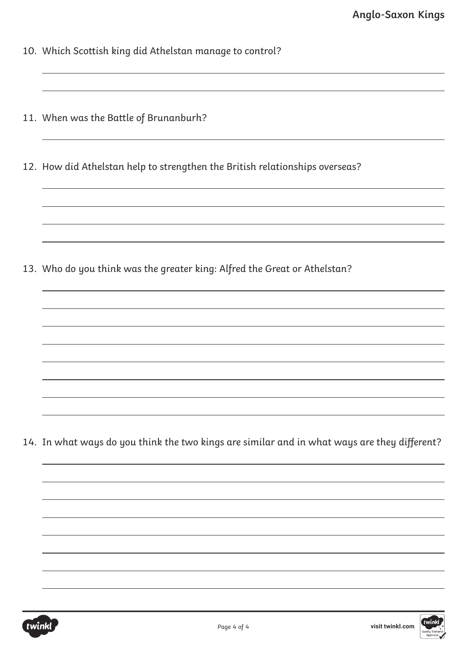10. Which Scottish king did Athelstan manage to control?

11. When was the Battle of Brunanburh?

twinkl

12. How did Athelstan help to strengthen the British relationships overseas?

13. Who do you think was the greater king: Alfred the Great or Athelstan?

14. In what ways do you think the two kings are similar and in what ways are they different?

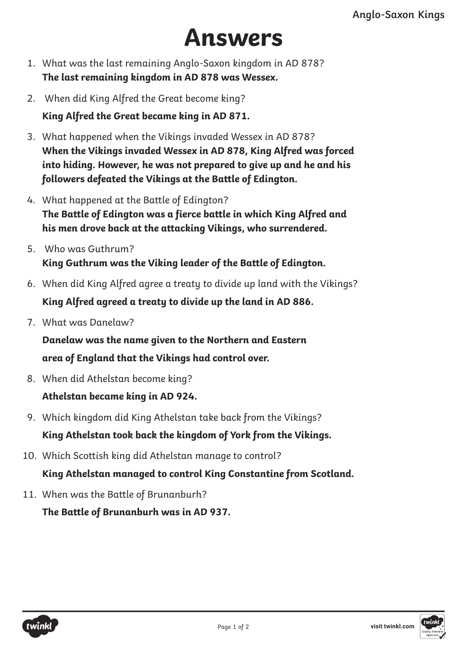### **Answers**

- 1. What was the last remaining Anglo-Saxon kingdom in AD 878? **The last remaining kingdom in AD 878 was Wessex.**
- 2. When did King Alfred the Great become king? **King Alfred the Great became king in AD 871.**
- 3. What happened when the Vikings invaded Wessex in AD 878? **When the Vikings invaded Wessex in AD 878, King Alfred was forced into hiding. However, he was not prepared to give up and he and his followers defeated the Vikings at the Battle of Edington.**
- 4. What happened at the Battle of Edington? **The Battle of Edington was a fierce battle in which King Alfred and his men drove back at the attacking Vikings, who surrendered.**
- 5. Who was Guthrum? **King Guthrum was the Viking leader of the Battle of Edington.**
- 6. When did King Alfred agree a treaty to divide up land with the Vikings? **King Alfred agreed a treaty to divide up the land in AD 886.**
- 7. What was Danelaw?

**Danelaw was the name given to the Northern and Eastern area of England that the Vikings had control over.**

- 8. When did Athelstan become king? **Athelstan became king in AD 924.**
- 9. Which kingdom did King Athelstan take back from the Vikings?

**King Athelstan took back the kingdom of York from the Vikings.**

10. Which Scottish king did Athelstan manage to control?

**King Athelstan managed to control King Constantine from Scotland.**

11. When was the Battle of Brunanburh?

**The Battle of Brunanburh was in AD 937.**